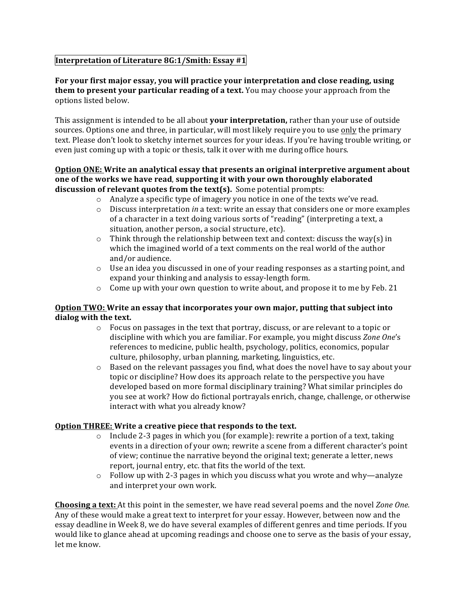# Interpretation of Literature 8G:1/Smith: Essay #1

### For your first major essay, you will practice your interpretation and close reading, using them to present your particular reading of a text. You may choose your approach from the options listed below.

This assignment is intended to be all about your interpretation, rather than your use of outside sources. Options one and three, in particular, will most likely require you to use only the primary text. Please don't look to sketchy internet sources for your ideas. If you're having trouble writing, or even just coming up with a topic or thesis, talk it over with me during office hours.

#### Option ONE: Write an analytical essay that presents an original interpretive argument about one of the works we have read, supporting it with your own thoroughly elaborated discussion of relevant quotes from the text(s). Some potential prompts:

- o Analyze a specific type of imagery you notice in one of the texts we've read.
- $\circ$  Discuss interpretation *in* a text: write an essay that considers one or more examples of a character in a text doing various sorts of "reading" (interpreting a text, a situation, another person, a social structure, etc).
- $\circ$  Think through the relationship between text and context: discuss the way(s) in which the imagined world of a text comments on the real world of the author and/or audience.
- $\circ$  Use an idea you discussed in one of your reading responses as a starting point, and expand your thinking and analysis to essay-length form.
- $\circ$  Come up with your own question to write about, and propose it to me by Feb. 21

# Option TWO: Write an essay that incorporates your own major, putting that subject into dialog with the text.

- $\circ$  Focus on passages in the text that portray, discuss, or are relevant to a topic or discipline with which you are familiar. For example, you might discuss Zone One's references to medicine, public health, psychology, politics, economics, popular culture, philosophy, urban planning, marketing, linguistics, etc.
- Based on the relevant passages you find, what does the novel have to say about your  $\circ$ topic or discipline? How does its approach relate to the perspective you have developed based on more formal disciplinary training? What similar principles do you see at work? How do fictional portrayals enrich, change, challenge, or otherwise interact with what you already know?

# Option THREE: Write a creative piece that responds to the text.

- $\circ$  Include 2-3 pages in which you (for example): rewrite a portion of a text, taking events in a direction of your own; rewrite a scene from a different character's point of view; continue the narrative beyond the original text; generate a letter, news report, journal entry, etc. that fits the world of the text.
- $\circ$  Follow up with 2-3 pages in which you discuss what you wrote and why—analyze and interpret your own work.

Choosing a text: At this point in the semester, we have read several poems and the novel Zone One. Any of these would make a great text to interpret for your essay. However, between now and the essay deadline in Week 8, we do have several examples of different genres and time periods. If you would like to glance ahead at upcoming readings and choose one to serve as the basis of your essay, let me know.